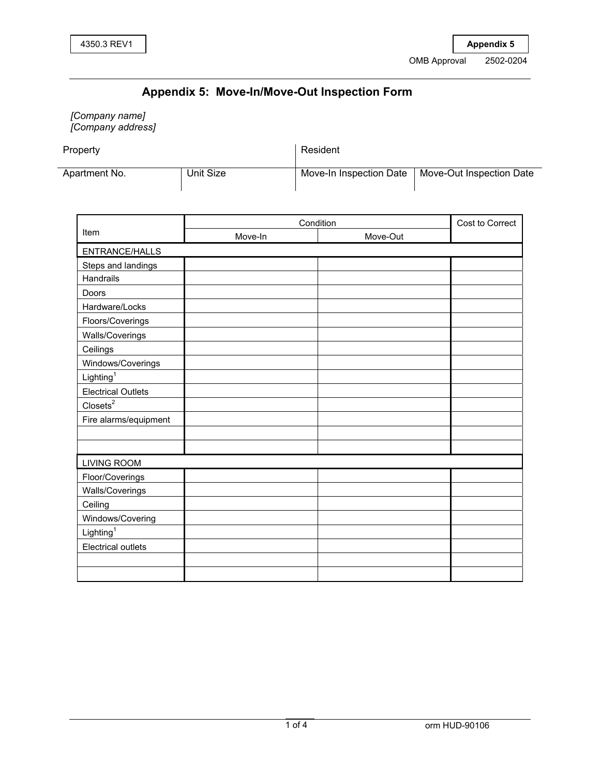## **Appendix 5: Move-In/Move-Out Inspection Form**

*[Company name] [Company address]* 

Property **3URSHUW** 5HVLGHQW 5HVLGHQW 5HVLGHQW 5HVLGHQW 5HVLGHQW 5HVLGHQW 5HVLGHQW 5HVLGHQW 5HVLGHQW 5HVLGHQW 5HVLGHQW 5HVLGHQW 5HVLGHQW 5HVLGHQW 5HVLGHQW 5HVLGHQW 5HVLGHQW 5HVLGHQW 5HVLGHQW 5HVLGHQW 5HVLGHQW 5HVLGHQW 5HVLG

| Apartment No. |  |
|---------------|--|

Unit Size Move-In Inspection Date | Move-Out Inspection Date

|                           | Condition |          | Cost to Correct |
|---------------------------|-----------|----------|-----------------|
| Item                      | Move-In   | Move-Out |                 |
| ENTRANCE/HALLS            |           |          |                 |
| Steps and landings        |           |          |                 |
| Handrails                 |           |          |                 |
| Doors                     |           |          |                 |
| Hardware/Locks            |           |          |                 |
| Floors/Coverings          |           |          |                 |
| Walls/Coverings           |           |          |                 |
| Ceilings                  |           |          |                 |
| Windows/Coverings         |           |          |                 |
| Lighting <sup>1</sup>     |           |          |                 |
| <b>Electrical Outlets</b> |           |          |                 |
| $\text{Closes}^2$         |           |          |                 |
| Fire alarms/equipment     |           |          |                 |
|                           |           |          |                 |
|                           |           |          |                 |
| <b>LIVING ROOM</b>        |           |          |                 |
| Floor/Coverings           |           |          |                 |
| Walls/Coverings           |           |          |                 |
| Ceiling                   |           |          |                 |
| Windows/Covering          |           |          |                 |
| Lighting <sup>1</sup>     |           |          |                 |
| <b>Electrical outlets</b> |           |          |                 |
|                           |           |          |                 |
|                           |           |          |                 |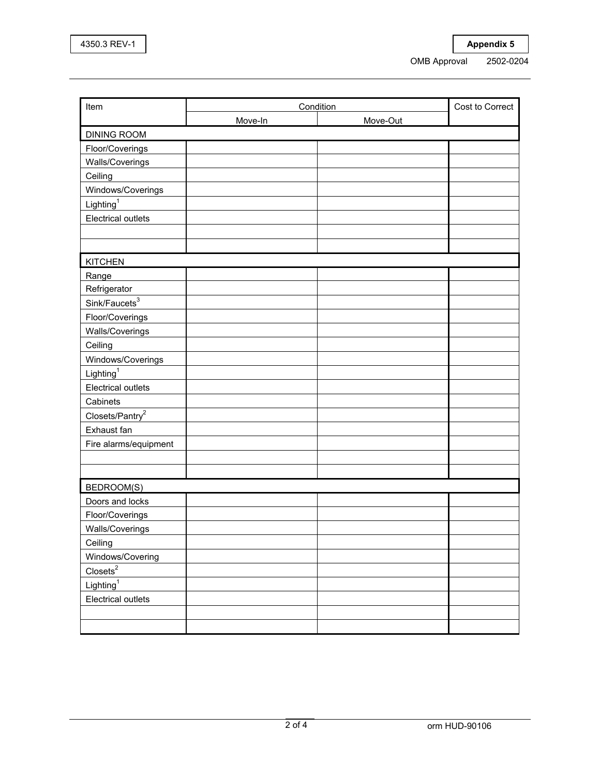| Item                                      | Condition |          | Cost to Correct |
|-------------------------------------------|-----------|----------|-----------------|
|                                           | Move-In   | Move-Out |                 |
| <b>DINING ROOM</b>                        |           |          |                 |
| Floor/Coverings                           |           |          |                 |
| Walls/Coverings                           |           |          |                 |
| Ceiling                                   |           |          |                 |
| Windows/Coverings                         |           |          |                 |
| Lighting <sup>1</sup>                     |           |          |                 |
| <b>Electrical outlets</b>                 |           |          |                 |
|                                           |           |          |                 |
|                                           |           |          |                 |
| <b>KITCHEN</b>                            |           |          |                 |
| Range                                     |           |          |                 |
| Refrigerator                              |           |          |                 |
| Sink/Features <sup>3</sup>                |           |          |                 |
| Floor/Coverings                           |           |          |                 |
| Walls/Coverings                           |           |          |                 |
| Ceiling                                   |           |          |                 |
| Windows/Coverings                         |           |          |                 |
| Lighting <sup>1</sup>                     |           |          |                 |
| <b>Electrical outlets</b>                 |           |          |                 |
| Cabinets                                  |           |          |                 |
| Closets/Pantry <sup>2</sup>               |           |          |                 |
| Exhaust fan                               |           |          |                 |
| Fire alarms/equipment                     |           |          |                 |
|                                           |           |          |                 |
|                                           |           |          |                 |
| <b>BEDROOM(S)</b>                         |           |          |                 |
| Doors and locks                           |           |          |                 |
| Floor/Coverings                           |           |          |                 |
| Walls/Coverings                           |           |          |                 |
| Ceiling                                   |           |          |                 |
| Windows/Covering                          |           |          |                 |
| $\frac{\text{Closets}^2}{\text{Closets}}$ |           |          |                 |
| Lighting <sup>1</sup>                     |           |          |                 |
| Electrical outlets                        |           |          |                 |
|                                           |           |          |                 |
|                                           |           |          |                 |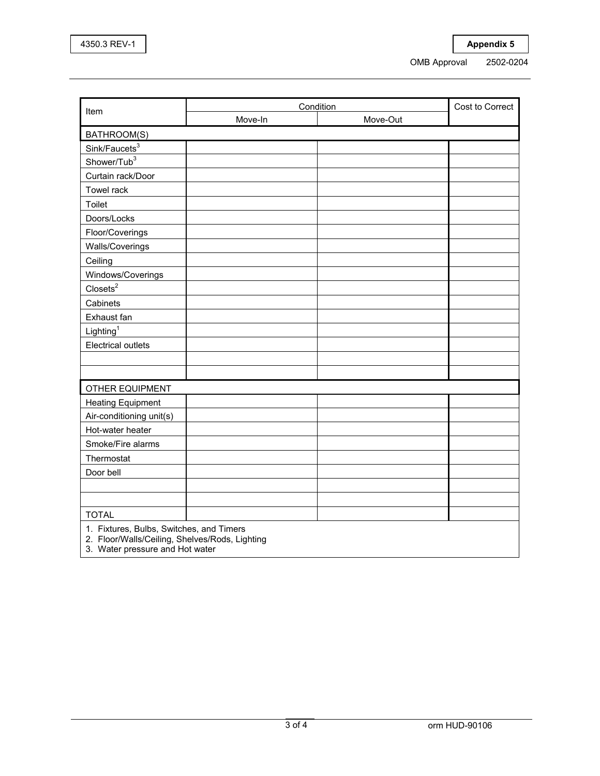|                                                                                            | Condition |          | Cost to Correct |
|--------------------------------------------------------------------------------------------|-----------|----------|-----------------|
| Item                                                                                       | Move-In   | Move-Out |                 |
| BATHROOM(S)                                                                                |           |          |                 |
| Sink/Faucets <sup>3</sup>                                                                  |           |          |                 |
| Shower/Tub <sup>3</sup>                                                                    |           |          |                 |
| Curtain rack/Door                                                                          |           |          |                 |
| Towel rack                                                                                 |           |          |                 |
| Toilet                                                                                     |           |          |                 |
| Doors/Locks                                                                                |           |          |                 |
| Floor/Coverings                                                                            |           |          |                 |
| Walls/Coverings                                                                            |           |          |                 |
| Ceiling                                                                                    |           |          |                 |
| Windows/Coverings                                                                          |           |          |                 |
| $\text{Closes}^2$                                                                          |           |          |                 |
| Cabinets                                                                                   |           |          |                 |
| Exhaust fan                                                                                |           |          |                 |
| Lighting <sup>1</sup>                                                                      |           |          |                 |
| <b>Electrical outlets</b>                                                                  |           |          |                 |
|                                                                                            |           |          |                 |
|                                                                                            |           |          |                 |
| OTHER EQUIPMENT                                                                            |           |          |                 |
| <b>Heating Equipment</b>                                                                   |           |          |                 |
| Air-conditioning unit(s)                                                                   |           |          |                 |
| Hot-water heater                                                                           |           |          |                 |
| Smoke/Fire alarms                                                                          |           |          |                 |
| Thermostat                                                                                 |           |          |                 |
| Door bell                                                                                  |           |          |                 |
|                                                                                            |           |          |                 |
|                                                                                            |           |          |                 |
| <b>TOTAL</b>                                                                               |           |          |                 |
| 1. Fixtures, Bulbs, Switches, and Timers<br>2. Floor/Walls/Ceiling, Shelves/Rods, Lighting |           |          |                 |

3. Water pressure and Hot water